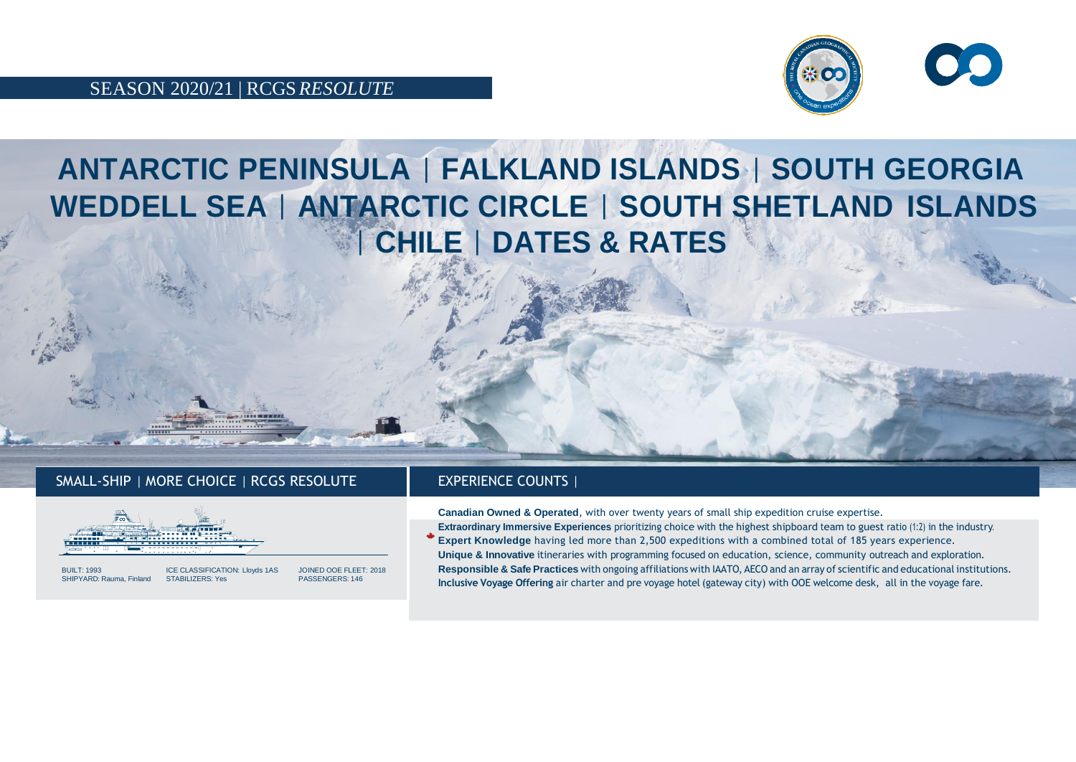



## **ANTARCTIC PENINSULA** | **FALKLAND ISLANDS** | **SOUTH GEORGIA WEDDELL SEA** | **ANTARCTIC CIRCLE** | **SOUTH SHETLAND ISLANDS** | **CHILE** | **DATES & RATES**

## SMALL-SHIP | MORE CHOICE | RCGS RESOLUTE | EXPERIENCE COUNTS |



SHIPYARD: Rauma, Finland

BUILT: 1993 ICE CLASSIFICATION: Lloyds 1AS JOINED OOE FLEET: 2018

**Canadian Owned & Operated**, with over twenty years of small ship expedition cruise expertise.

**Extraordinary Immersive Experiences** prioritizing choice with the highest shipboard team to guest ratio (1:2) in the industry. **Expert Knowledge** having led more than 2,500 expeditions with a combined total of 185 years experience. **Unique & Innovative** itineraries with programming focused on education, science, community outreach and exploration. **Responsible & Safe Practices** with ongoing affiliationswith IAATO, AECO and an array of scientific and educational institutions. **Inclusive Voyage Offering** air charter and pre voyage hotel (gateway city) with OOE welcome desk, all in the voyage fare.